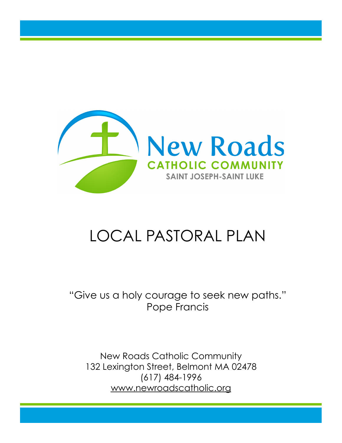

# LOCAL PASTORAL PLAN

"Give us a holy courage to seek new paths." Pope Francis

New Roads Catholic Community 132 Lexington Street, Belmont MA 02478 (617) 484-1996 www.newroadscatholic.org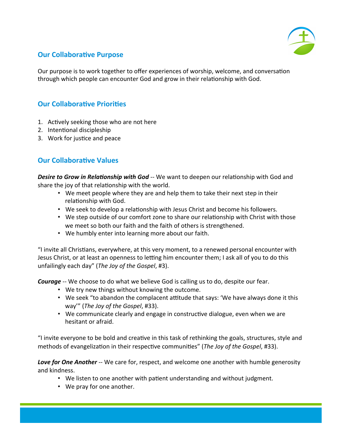

# **Our Collaborative Purpose**

Our purpose is to work together to offer experiences of worship, welcome, and conversation through which people can encounter God and grow in their relationship with God.

# **Our Collaborative Priorities**

- 1. Actively seeking those who are not here
- 2. Intentional discipleship
- 3. Work for justice and peace

# **Our Collaborative Values**

**Desire to Grow in Relationship with God** -- We want to deepen our relationship with God and share the joy of that relationship with the world.

- We meet people where they are and help them to take their next step in their relationship with God.
- We seek to develop a relationship with Jesus Christ and become his followers.
- We step outside of our comfort zone to share our relationship with Christ with those we meet so both our faith and the faith of others is strengthened.
- We humbly enter into learning more about our faith.

"I invite all Christians, everywhere, at this very moment, to a renewed personal encounter with Jesus Christ, or at least an openness to letting him encounter them; I ask all of you to do this unfailingly each day" (*The Joy of the Gospel*, #3).

**Courage** -- We choose to do what we believe God is calling us to do, despite our fear.

- We try new things without knowing the outcome.
- We seek "to abandon the complacent attitude that says: 'We have always done it this way'" (The Joy of the Gospel, #33).
- We communicate clearly and engage in constructive dialogue, even when we are hesitant or afraid.

"I invite everyone to be bold and creative in this task of rethinking the goals, structures, style and methods of evangelization in their respective communities" (The Joy of the Gospel, #33).

**Love for One Another** -- We care for, respect, and welcome one another with humble generosity and kindness.

- We listen to one another with patient understanding and without judgment.
- We pray for one another.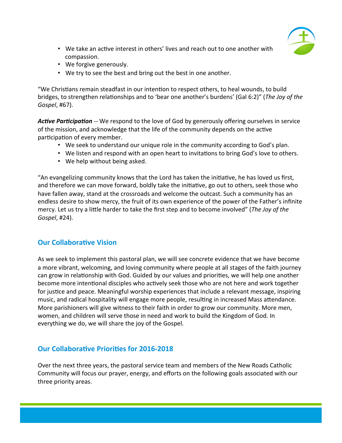

- We take an active interest in others' lives and reach out to one another with compassion.
- We forgive generously.
- We try to see the best and bring out the best in one another.

"We Christians remain steadfast in our intention to respect others, to heal wounds, to build bridges, to strengthen relationships and to 'bear one another's burdens' (Gal 6:2)" (The Joy of the *Gospel*, #67).

Active Participation -- We respond to the love of God by generously offering ourselves in service of the mission, and acknowledge that the life of the community depends on the active participation of every member.

- We seek to understand our unique role in the community according to God's plan.
- We listen and respond with an open heart to invitations to bring God's love to others.
- We help without being asked.

"An evangelizing community knows that the Lord has taken the initiative, he has loved us first, and therefore we can move forward, boldly take the initiative, go out to others, seek those who have fallen away, stand at the crossroads and welcome the outcast. Such a community has an endless desire to show mercy, the fruit of its own experience of the power of the Father's infinite mercy. Let us try a little harder to take the first step and to become involved" (The Joy of the *Gospel*, #24). 

# **Our Collaborative Vision**

As we seek to implement this pastoral plan, we will see concrete evidence that we have become a more vibrant, welcoming, and loving community where people at all stages of the faith journey can grow in relationship with God. Guided by our values and priorities, we will help one another become more intentional disciples who actively seek those who are not here and work together for justice and peace. Meaningful worship experiences that include a relevant message, inspiring music, and radical hospitality will engage more people, resulting in increased Mass attendance. More parishioners will give witness to their faith in order to grow our community. More men, women, and children will serve those in need and work to build the Kingdom of God. In everything we do, we will share the joy of the Gospel.

# **Our Collaborative Priorities for 2016-2018**

Over the next three years, the pastoral service team and members of the New Roads Catholic Community will focus our prayer, energy, and efforts on the following goals associated with our three priority areas.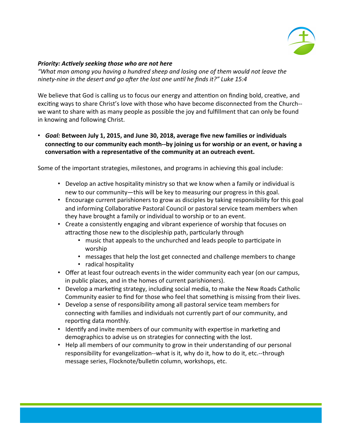

## *Priority: Actively seeking those who are not here*

"What man among you having a hundred sheep and losing one of them would not leave the *ninety-nine in the desert and go after the lost one until he finds it?"* Luke 15:4

We believe that God is calling us to focus our energy and attention on finding bold, creative, and exciting ways to share Christ's love with those who have become disconnected from the Church-we want to share with as many people as possible the joy and fulfillment that can only be found in knowing and following Christ.

• Goal: Between July 1, 2015, and June 30, 2018, average five new families or individuals connecting to our community each month--by joining us for worship or an event, or having a conversation with a representative of the community at an outreach event.

Some of the important strategies, milestones, and programs in achieving this goal include:

- Develop an active hospitality ministry so that we know when a family or individual is new to our community—this will be key to measuring our progress in this goal.
- Encourage current parishioners to grow as disciples by taking responsibility for this goal and informing Collaborative Pastoral Council or pastoral service team members when they have brought a family or individual to worship or to an event.
- Create a consistently engaging and vibrant experience of worship that focuses on attracting those new to the discipleship path, particularly through
	- music that appeals to the unchurched and leads people to participate in worship
	- messages that help the lost get connected and challenge members to change
	- radical hospitality
- Offer at least four outreach events in the wider community each year (on our campus, in public places, and in the homes of current parishioners).
- Develop a marketing strategy, including social media, to make the New Roads Catholic Community easier to find for those who feel that something is missing from their lives.
- Develop a sense of responsibility among all pastoral service team members for connecting with families and individuals not currently part of our community, and reporting data monthly.
- Identify and invite members of our community with expertise in marketing and demographics to advise us on strategies for connecting with the lost.
- Help all members of our community to grow in their understanding of our personal responsibility for evangelization--what is it, why do it, how to do it, etc.--through message series, Flocknote/bulletin column, workshops, etc.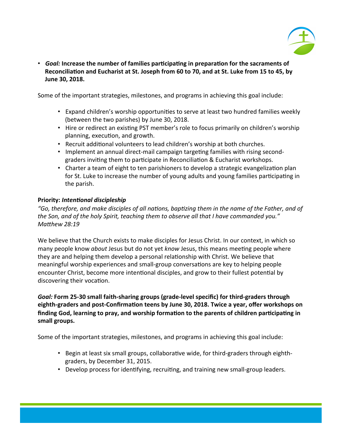

• Goal: Increase the number of families participating in preparation for the sacraments of Reconciliation and Eucharist at St. Joseph from 60 to 70, and at St. Luke from 15 to 45, by **June 30, 2018.** 

Some of the important strategies, milestones, and programs in achieving this goal include:

- Expand children's worship opportunities to serve at least two hundred families weekly (between the two parishes) by June 30, 2018.
- Hire or redirect an existing PST member's role to focus primarily on children's worship planning, execution, and growth.
- Recruit additional volunteers to lead children's worship at both churches.
- Implement an annual direct-mail campaign targeting families with rising secondgraders inviting them to participate in Reconciliation & Eucharist workshops.
- Charter a team of eight to ten parishioners to develop a strategic evangelization plan for St. Luke to increase the number of young adults and young families participating in the parish.

## **Priority: Intentional discipleship**

"Go, therefore, and make disciples of all nations, baptizing them in the name of the Father, and of the Son, and of the holy Spirit, teaching them to observe all that I have commanded you." *Matthew 28:19* 

We believe that the Church exists to make disciples for Jesus Christ. In our context, in which so many people know *about* Jesus but do not yet *know* Jesus, this means meeting people where they are and helping them develop a personal relationship with Christ. We believe that meaningful worship experiences and small-group conversations are key to helping people encounter Christ, become more intentional disciples, and grow to their fullest potential by discovering their vocation.

## Goal: Form 25-30 small faith-sharing groups (grade-level specific) for third-graders through eighth-graders and post-Confirmation teens by June 30, 2018. Twice a year, offer workshops on finding God, learning to pray, and worship formation to the parents of children participating in small groups.

Some of the important strategies, milestones, and programs in achieving this goal include:

- Begin at least six small groups, collaborative wide, for third-graders through eighthgraders, by December 31, 2015.
- Develop process for identifying, recruiting, and training new small-group leaders.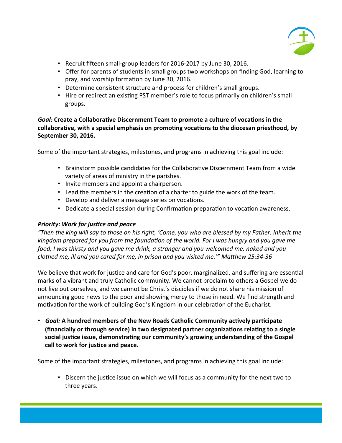

- Recruit fifteen small-group leaders for 2016-2017 by June 30, 2016.
- Offer for parents of students in small groups two workshops on finding God, learning to pray, and worship formation by June 30, 2016.
- Determine consistent structure and process for children's small groups.
- Hire or redirect an existing PST member's role to focus primarily on children's small groups.

Goal: Create a Collaborative Discernment Team to promote a culture of vocations in the collaborative, with a special emphasis on promoting vocations to the diocesan priesthood, by **September 30, 2016.** 

Some of the important strategies, milestones, and programs in achieving this goal include:

- Brainstorm possible candidates for the Collaborative Discernment Team from a wide variety of areas of ministry in the parishes.
- Invite members and appoint a chairperson.
- Lead the members in the creation of a charter to guide the work of the team.
- Develop and deliver a message series on vocations.
- Dedicate a special session during Confirmation preparation to vocation awareness.

## **Priority: Work for justice and peace**

*"Then the king will say to those on his right, 'Come, you who are blessed by my Father. Inherit the*  kingdom prepared for you from the foundation of the world. For I was hungry and you gave me *food, I* was thirsty and you gave me drink, a stranger and you welcomed me, naked and you *clothed me, ill and you cared for me, in prison and you visited me.'"* Matthew 25:34-36

We believe that work for justice and care for God's poor, marginalized, and suffering are essential marks of a vibrant and truly Catholic community. We cannot proclaim to others a Gospel we do not live out ourselves, and we cannot be Christ's disciples if we do not share his mission of announcing good news to the poor and showing mercy to those in need. We find strength and motivation for the work of building God's Kingdom in our celebration of the Eucharist.

• *Goal:* A hundred members of the New Roads Catholic Community actively participate **(financially or through service) in two designated partner organizations relating to a single** social justice issue, demonstrating our community's growing understanding of the Gospel call to work for justice and peace.

Some of the important strategies, milestones, and programs in achieving this goal include:

• Discern the justice issue on which we will focus as a community for the next two to three years.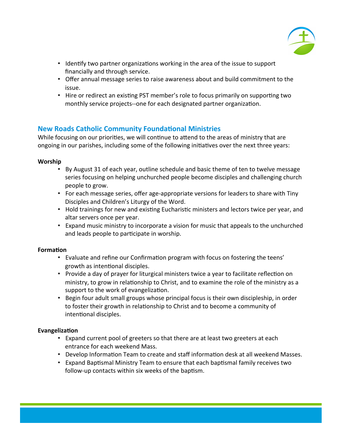

- Identify two partner organizations working in the area of the issue to support financially and through service.
- Offer annual message series to raise awareness about and build commitment to the issue.
- Hire or redirect an existing PST member's role to focus primarily on supporting two monthly service projects--one for each designated partner organization.

# **New Roads Catholic Community Foundational Ministries**

While focusing on our priorities, we will continue to attend to the areas of ministry that are ongoing in our parishes, including some of the following initiatives over the next three years:

## **Worship**

- By August 31 of each year, outline schedule and basic theme of ten to twelve message series focusing on helping unchurched people become disciples and challenging church people to grow.
- For each message series, offer age-appropriate versions for leaders to share with Tiny Disciples and Children's Liturgy of the Word.
- Hold trainings for new and existing Eucharistic ministers and lectors twice per year, and altar servers once per year.
- Expand music ministry to incorporate a vision for music that appeals to the unchurched and leads people to participate in worship.

#### **Formation**

- Evaluate and refine our Confirmation program with focus on fostering the teens' growth as intentional disciples.
- Provide a day of prayer for liturgical ministers twice a year to facilitate reflection on ministry, to grow in relationship to Christ, and to examine the role of the ministry as a support to the work of evangelization.
- Begin four adult small groups whose principal focus is their own discipleship, in order to foster their growth in relationship to Christ and to become a community of intentional disciples.

## **Evangelization**

- Expand current pool of greeters so that there are at least two greeters at each entrance for each weekend Mass.
- Develop Information Team to create and staff information desk at all weekend Masses.
- Expand Baptismal Ministry Team to ensure that each baptismal family receives two follow-up contacts within six weeks of the baptism.